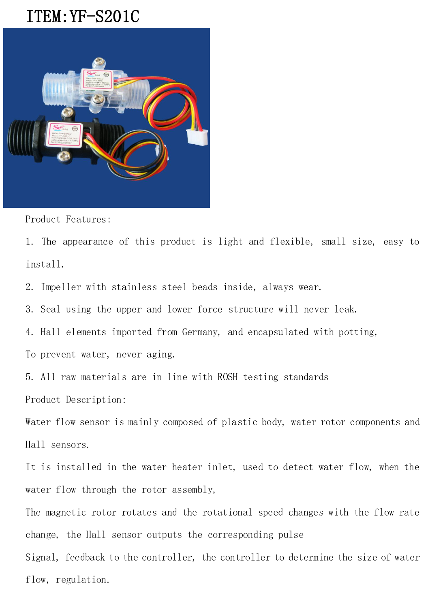## ITEM:YF-S201C



Product Features:

1. The appearance of this product is light and flexible, small size, easy to install.

2. Impeller with stainless steel beads inside, always wear.

3. Seal using the upper and lower force structure will never leak.

4. Hall elements imported from Germany, and encapsulated with potting,

To prevent water, never aging.

5. All raw materials are in line with ROSH testing standards Product Description:

Water flow sensor is mainly composed of plastic body, water rotor components and Hall sensors.

It is installed in the water heater inlet, used to detect water flow, when the water flow through the rotor assembly,

The magnetic rotor rotates and the rotational speed changes with the flow rate change, the Hall sensor outputs the corresponding pulse

Signal, feedback to the controller, the controller to determine the size of water flow, regulation.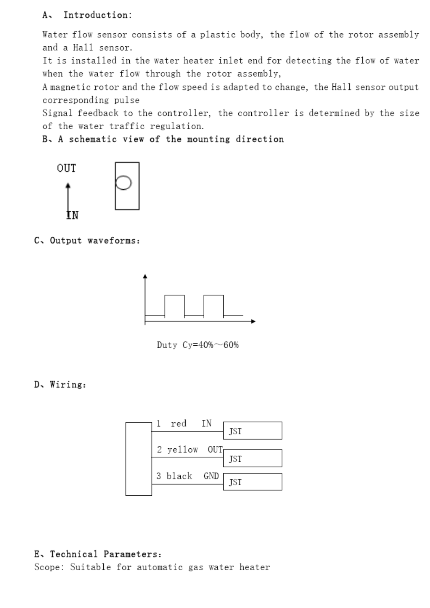Water flow sensor consists of a plastic body, the flow of the rotor assembly and a Hall sensor.

It is installed in the water heater inlet end for detecting the flow of water when the water flow through the rotor assembly,

A magnetic rotor and the flow speed is adapted to change, the Hall sensor output corresponding pulse

Signal feedback to the controller, the controller is determined by the size of the water traffic regulation.

B. A schematic view of the mounting direction



C. Output waveforms:



Duty Cy= $40\%$ ~60%

D. Wiring:



## E. Technical Parameters:

Scope: Suitable for automatic gas water heater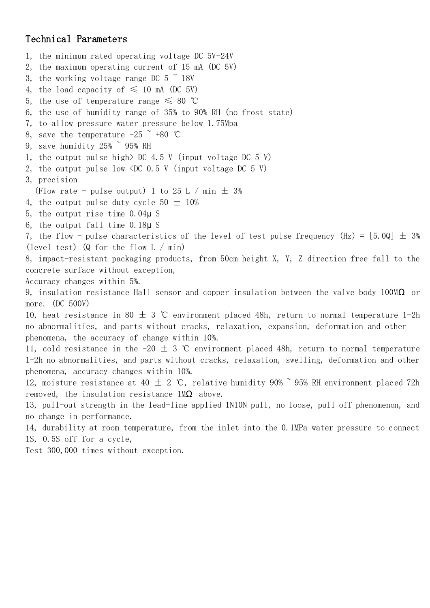## Technical Parameters

1, the minimum rated operating voltage DC 5V-24V 2, the maximum operating current of 15 mA (DC 5V) 3, the working voltage range DC  $5 \degree$  18V 4, the load capacity of  $\leq$  10 mA (DC 5V) 5, the use of temperature range  $\leq 80$  °C 6, the use of humidity range of 35% to 90% RH (no frost state) 7, to allow pressure water pressure below 1.75Mpa 8, save the temperature  $-25$   $\degree$  +80 °C 9, save humidity  $25\%$   $\degree$  95% RH 1, the output pulse high $>$  DC 4.5 V (input voltage DC 5 V) 2, the output pulse low  $\langle DC 0.5 V (input voltage DC 5 V)$ 3, precision (Flow rate - pulse output) 1 to 25 L / min  $\pm$  3% 4, the output pulse duty cycle  $50 \pm 10\%$ 5, the output rise time 0.04μ S 6, the output fall time 0.18μ S 7, the flow - pulse characteristics of the level of test pulse frequency (Hz) =  $[5.0Q] \pm 3\%$ (level test) (Q for the flow L / min) 8, impact-resistant packaging products, from 50cm height X, Y, Z direction free fall to the concrete surface without exception, Accuracy changes within 5%. 9, insulation resistance Hall sensor and copper insulation between the valve body 100M $\Omega$  or more. (DC 500V) 10, heat resistance in 80  $\pm$  3 ℃ environment placed 48h, return to normal temperature 1-2h no abnormalities, and parts without cracks, relaxation, expansion, deformation and other phenomena, the accuracy of change within 10%. 11, cold resistance in the -20  $\pm$  3 ℃ environment placed 48h, return to normal temperature 1-2h no abnormalities, and parts without cracks, relaxation, swelling, deformation and other phenomena, accuracy changes within 10%. 12, moisture resistance at 40  $\pm$  2 ℃, relative humidity 90%  $^{\circ}$  95% RH environment placed 72h removed, the insulation resistance  $1\text{M}\Omega$  above. 13, pull-out strength in the lead-line applied 1N10N pull, no loose, pull off phenomenon, and no change in performance. 14, durability at room temperature, from the inlet into the 0.1MPa water pressure to connect 1S, 0.5S off for a cycle, Test 300,000 times without exception.